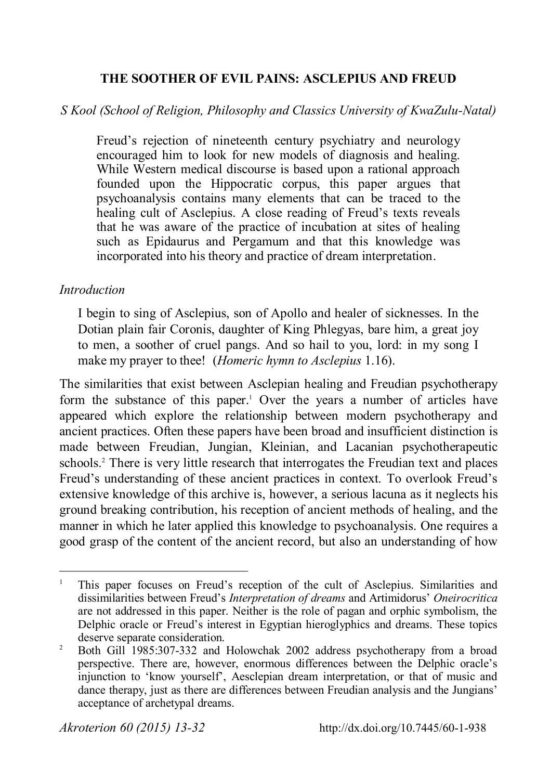# **THE SOOTHER OF EVIL PAINS: ASCLEPIUS AND FREUD**

# *S Kool (School of Religion, Philosophy and Classics University of KwaZulu-Natal)*

Freud's rejection of nineteenth century psychiatry and neurology encouraged him to look for new models of diagnosis and healing. While Western medical discourse is based upon a rational approach founded upon the Hippocratic corpus, this paper argues that psychoanalysis contains many elements that can be traced to the healing cult of Asclepius. A close reading of Freud's texts reveals that he was aware of the practice of incubation at sites of healing such as Epidaurus and Pergamum and that this knowledge was incorporated into his theory and practice of dream interpretation.

### *Introduction*

I begin to sing of Asclepius, son of Apollo and healer of sicknesses. In the Dotian plain fair Coronis, daughter of King Phlegyas, bare him, a great joy to men, a soother of cruel pangs. And so hail to you, lord: in my song I make my prayer to thee! (*Homeric hymn to Asclepius* 1.16).

The similarities that exist between Asclepian healing and Freudian psychotherapy form the substance of this paper.<sup>1</sup> Over the years a number of articles have appeared which explore the relationship between modern psychotherapy and ancient practices. Often these papers have been broad and insufficient distinction is made between Freudian, Jungian, Kleinian, and Lacanian psychotherapeutic schools.<sup>2</sup> There is very little research that interrogates the Freudian text and places Freud's understanding of these ancient practices in context. To overlook Freud's extensive knowledge of this archive is, however, a serious lacuna as it neglects his ground breaking contribution, his reception of ancient methods of healing, and the manner in which he later applied this knowledge to psychoanalysis. One requires a good grasp of the content of the ancient record, but also an understanding of how

<sup>1</sup> This paper focuses on Freud's reception of the cult of Asclepius. Similarities and dissimilarities between Freud's *Interpretation of dreams* and Artimidorus' *Oneirocritica* are not addressed in this paper. Neither is the role of pagan and orphic symbolism, the Delphic oracle or Freud's interest in Egyptian hieroglyphics and dreams. These topics deserve separate consideration.

 $\overline{2}$  Both Gill 1985:307-332 and Holowchak 2002 address psychotherapy from a broad perspective. There are, however, enormous differences between the Delphic oracle's injunction to 'know yourself', Aesclepian dream interpretation, or that of music and dance therapy, just as there are differences between Freudian analysis and the Jungians' acceptance of archetypal dreams.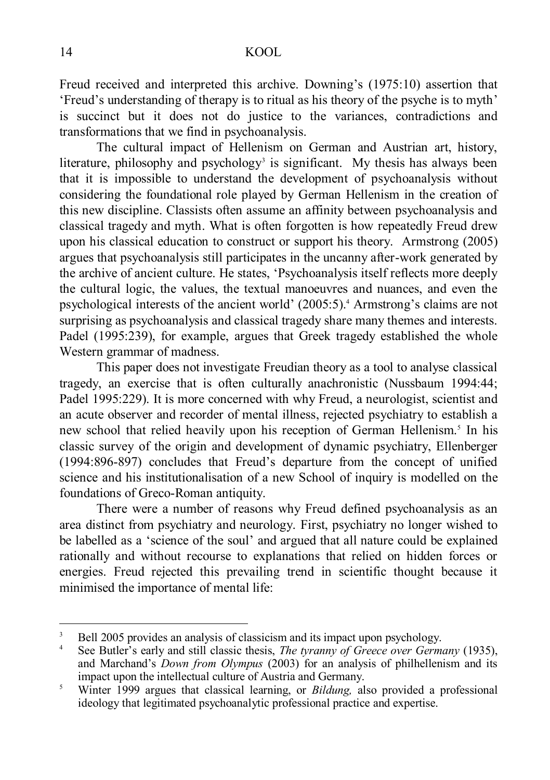Freud received and interpreted this archive. Downing's (1975:10) assertion that 'Freud's understanding of therapy is to ritual as his theory of the psyche is to myth' is succinct but it does not do justice to the variances, contradictions and transformations that we find in psychoanalysis.

The cultural impact of Hellenism on German and Austrian art, history, literature, philosophy and psychology<sup>3</sup> is significant. My thesis has always been that it is impossible to understand the development of psychoanalysis without considering the foundational role played by German Hellenism in the creation of this new discipline. Classists often assume an affinity between psychoanalysis and classical tragedy and myth. What is often forgotten is how repeatedly Freud drew upon his classical education to construct or support his theory. Armstrong (2005) argues that psychoanalysis still participates in the uncanny after-work generated by the archive of ancient culture. He states, 'Psychoanalysis itself reflects more deeply the cultural logic, the values, the textual manoeuvres and nuances, and even the psychological interests of the ancient world' (2005:5).<sup>4</sup> Armstrong's claims are not surprising as psychoanalysis and classical tragedy share many themes and interests. Padel (1995:239), for example, argues that Greek tragedy established the whole Western grammar of madness.

This paper does not investigate Freudian theory as a tool to analyse classical tragedy, an exercise that is often culturally anachronistic (Nussbaum 1994:44; Padel 1995:229). It is more concerned with why Freud, a neurologist, scientist and an acute observer and recorder of mental illness, rejected psychiatry to establish a new school that relied heavily upon his reception of German Hellenism.<sup>5</sup> In his classic survey of the origin and development of dynamic psychiatry, Ellenberger (1994:896-897) concludes that Freud's departure from the concept of unified science and his institutionalisation of a new School of inquiry is modelled on the foundations of Greco-Roman antiquity.

There were a number of reasons why Freud defined psychoanalysis as an area distinct from psychiatry and neurology. First, psychiatry no longer wished to be labelled as a 'science of the soul' and argued that all nature could be explained rationally and without recourse to explanations that relied on hidden forces or energies. Freud rejected this prevailing trend in scientific thought because it minimised the importance of mental life:

<sup>3</sup> Bell 2005 provides an analysis of classicism and its impact upon psychology.

<sup>4</sup> See Butler's early and still classic thesis, *The tyranny of Greece over Germany* (1935), and Marchand's *Down from Olympus* (2003) for an analysis of philhellenism and its impact upon the intellectual culture of Austria and Germany.

<sup>5</sup> Winter 1999 argues that classical learning, or *Bildung,* also provided a professional ideology that legitimated psychoanalytic professional practice and expertise.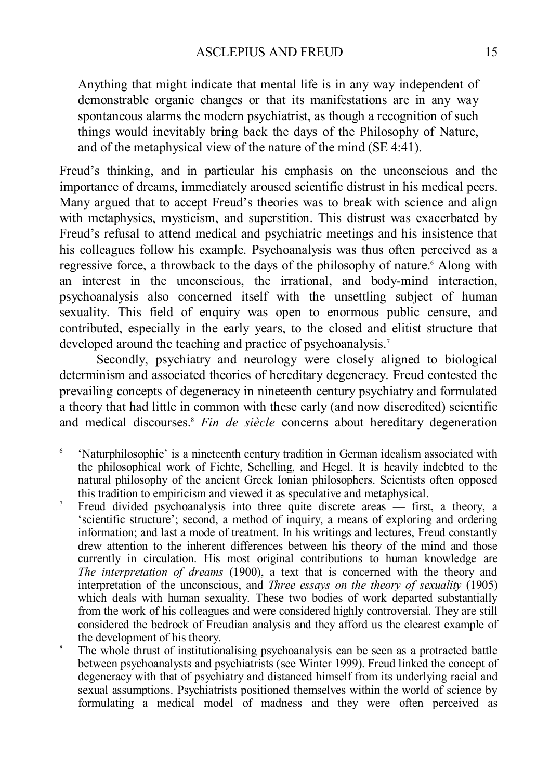Anything that might indicate that mental life is in any way independent of demonstrable organic changes or that its manifestations are in any way spontaneous alarms the modern psychiatrist, as though a recognition of such things would inevitably bring back the days of the Philosophy of Nature, and of the metaphysical view of the nature of the mind (SE 4:41).

Freud's thinking, and in particular his emphasis on the unconscious and the importance of dreams, immediately aroused scientific distrust in his medical peers. Many argued that to accept Freud's theories was to break with science and align with metaphysics, mysticism, and superstition. This distrust was exacerbated by Freud's refusal to attend medical and psychiatric meetings and his insistence that his colleagues follow his example. Psychoanalysis was thus often perceived as a regressive force, a throwback to the days of the philosophy of nature. <sup>6</sup> Along with an interest in the unconscious, the irrational, and body-mind interaction, psychoanalysis also concerned itself with the unsettling subject of human sexuality. This field of enquiry was open to enormous public censure, and contributed, especially in the early years, to the closed and elitist structure that developed around the teaching and practice of psychoanalysis.<sup>7</sup>

Secondly, psychiatry and neurology were closely aligned to biological determinism and associated theories of hereditary degeneracy. Freud contested the prevailing concepts of degeneracy in nineteenth century psychiatry and formulated a theory that had little in common with these early (and now discredited) scientific and medical discourses.<sup>8</sup> *Fin de siècle* concerns about hereditary degeneration

<sup>-&</sup>lt;br>6 'Naturphilosophie' is a nineteenth century tradition in German idealism associated with the philosophical work of Fichte, Schelling, and Hegel. It is heavily indebted to the natural philosophy of the ancient Greek Ionian philosophers. Scientists often opposed this tradition to empiricism and viewed it as speculative and metaphysical.

<sup>&</sup>lt;sup>7</sup> Freud divided psychoanalysis into three quite discrete areas  $-$  first, a theory, a 'scientific structure'; second, a method of inquiry, a means of exploring and ordering information; and last a mode of treatment. In his writings and lectures, Freud constantly drew attention to the inherent differences between his theory of the mind and those currently in circulation. His most original contributions to human knowledge are *The interpretation of dreams* (1900), a text that is concerned with the theory and interpretation of the unconscious, and *Three essays on the theory of sexuality* (1905) which deals with human sexuality. These two bodies of work departed substantially from the work of his colleagues and were considered highly controversial. They are still considered the bedrock of Freudian analysis and they afford us the clearest example of the development of his theory.

<sup>&</sup>lt;sup>8</sup> The whole thrust of institutionalising psychoanalysis can be seen as a protracted battle between psychoanalysts and psychiatrists (see Winter 1999). Freud linked the concept of degeneracy with that of psychiatry and distanced himself from its underlying racial and sexual assumptions. Psychiatrists positioned themselves within the world of science by formulating a medical model of madness and they were often perceived as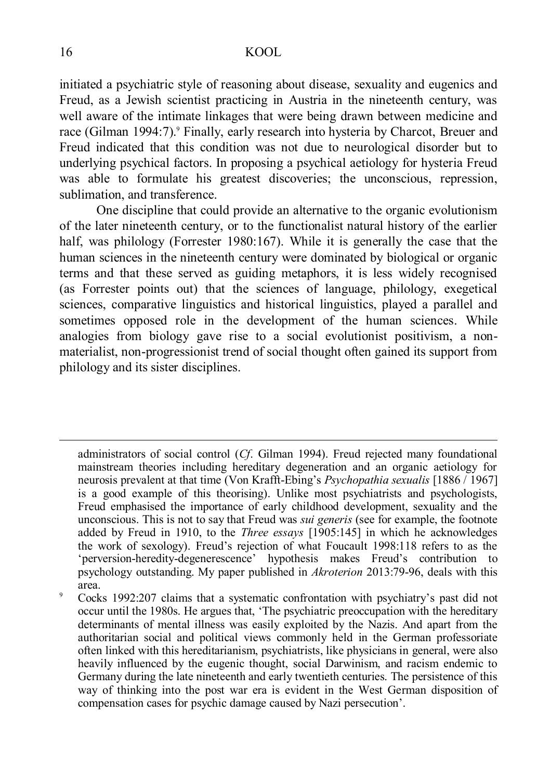initiated a psychiatric style of reasoning about disease, sexuality and eugenics and Freud, as a Jewish scientist practicing in Austria in the nineteenth century, was well aware of the intimate linkages that were being drawn between medicine and race (Gilman 1994:7)<sup>9</sup> Finally, early research into hysteria by Charcot, Breuer and Freud indicated that this condition was not due to neurological disorder but to underlying psychical factors. In proposing a psychical aetiology for hysteria Freud was able to formulate his greatest discoveries; the unconscious, repression, sublimation, and transference.

One discipline that could provide an alternative to the organic evolutionism of the later nineteenth century, or to the functionalist natural history of the earlier half, was philology (Forrester 1980:167). While it is generally the case that the human sciences in the nineteenth century were dominated by biological or organic terms and that these served as guiding metaphors, it is less widely recognised (as Forrester points out) that the sciences of language, philology, exegetical sciences, comparative linguistics and historical linguistics, played a parallel and sometimes opposed role in the development of the human sciences. While analogies from biology gave rise to a social evolutionist positivism, a nonmaterialist, non-progressionist trend of social thought often gained its support from philology and its sister disciplines.

administrators of social control (*Cf*. Gilman 1994). Freud rejected many foundational mainstream theories including hereditary degeneration and an organic aetiology for neurosis prevalent at that time (Von Krafft-Ebing's *Psychopathia sexualis* [1886 / 1967] is a good example of this theorising). Unlike most psychiatrists and psychologists, Freud emphasised the importance of early childhood development, sexuality and the unconscious. This is not to say that Freud was *sui generis* (see for example, the footnote added by Freud in 1910, to the *Three essays* [1905:145] in which he acknowledges the work of sexology). Freud's rejection of what Foucault 1998:118 refers to as the 'perversion-heredity-degenerescence' hypothesis makes Freud's contribution to psychology outstanding. My paper published in *Akroterion* 2013:79-96, deals with this area.

<u>.</u>

<sup>9</sup> Cocks 1992:207 claims that a systematic confrontation with psychiatry's past did not occur until the 1980s. He argues that, 'The psychiatric preoccupation with the hereditary determinants of mental illness was easily exploited by the Nazis. And apart from the authoritarian social and political views commonly held in the German professoriate often linked with this hereditarianism, psychiatrists, like physicians in general, were also heavily influenced by the eugenic thought, social Darwinism, and racism endemic to Germany during the late nineteenth and early twentieth centuries. The persistence of this way of thinking into the post war era is evident in the West German disposition of compensation cases for psychic damage caused by Nazi persecution'.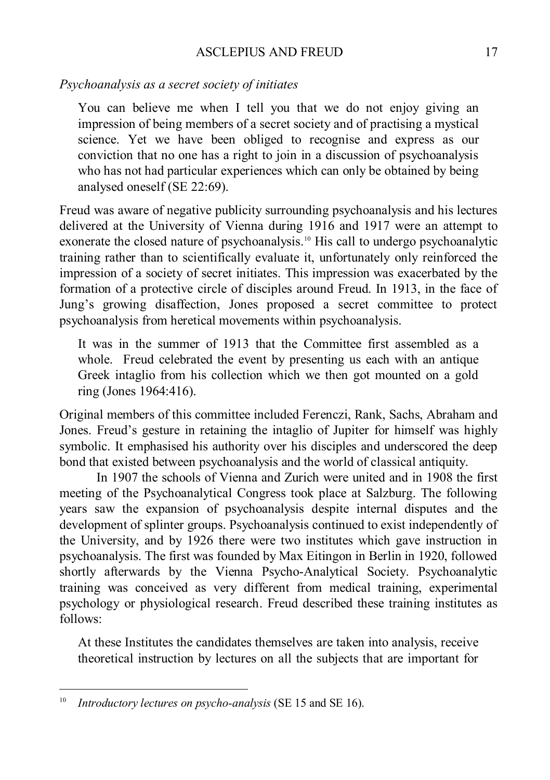### ASCLEPIUS AND FREUD 17

### *Psychoanalysis as a secret society of initiates*

You can believe me when I tell you that we do not enjoy giving an impression of being members of a secret society and of practising a mystical science. Yet we have been obliged to recognise and express as our conviction that no one has a right to join in a discussion of psychoanalysis who has not had particular experiences which can only be obtained by being analysed oneself (SE 22:69).

Freud was aware of negative publicity surrounding psychoanalysis and his lectures delivered at the University of Vienna during 1916 and 1917 were an attempt to exonerate the closed nature of psychoanalysis. <sup>10</sup> His call to undergo psychoanalytic training rather than to scientifically evaluate it, unfortunately only reinforced the impression of a society of secret initiates. This impression was exacerbated by the formation of a protective circle of disciples around Freud. In 1913, in the face of Jung's growing disaffection, Jones proposed a secret committee to protect psychoanalysis from heretical movements within psychoanalysis.

It was in the summer of 1913 that the Committee first assembled as a whole. Freud celebrated the event by presenting us each with an antique Greek intaglio from his collection which we then got mounted on a gold ring (Jones 1964:416).

Original members of this committee included Ferenczi, Rank, Sachs, Abraham and Jones. Freud's gesture in retaining the intaglio of Jupiter for himself was highly symbolic. It emphasised his authority over his disciples and underscored the deep bond that existed between psychoanalysis and the world of classical antiquity.

In 1907 the schools of Vienna and Zurich were united and in 1908 the first meeting of the Psychoanalytical Congress took place at Salzburg. The following years saw the expansion of psychoanalysis despite internal disputes and the development of splinter groups. Psychoanalysis continued to exist independently of the University, and by 1926 there were two institutes which gave instruction in psychoanalysis. The first was founded by Max Eitingon in Berlin in 1920, followed shortly afterwards by the Vienna Psycho-Analytical Society. Psychoanalytic training was conceived as very different from medical training, experimental psychology or physiological research. Freud described these training institutes as follows:

At these Institutes the candidates themselves are taken into analysis, receive theoretical instruction by lectures on all the subjects that are important for

-

<sup>10</sup> *Introductory lectures on psycho-analysis* (SE 15 and SE 16).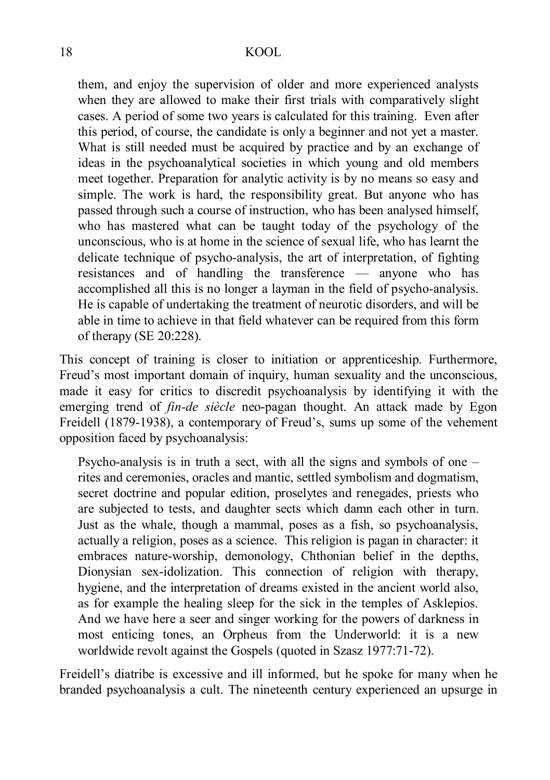them, and enjoy the supervision of older and more experienced analysts when they are allowed to make their first trials with comparatively slight cases. A period of some two years is calculated for this training. Even after this period, of course, the candidate is only a beginner and not yet a master. What is still needed must be acquired by practice and by an exchange of ideas in the psychoanalytical societies in which young and old members meet together. Preparation for analytic activity is by no means so easy and simple. The work is hard, the responsibility great. But anyone who has passed through such a course of instruction, who has been analysed himself, who has mastered what can be taught today of the psychology of the unconscious, who is at home in the science of sexual life, who has learnt the delicate technique of psycho-analysis, the art of interpretation, of fighting resistances and of handling the transference — anyone who has accomplished all this is no longer a layman in the field of psycho-analysis. He is capable of undertaking the treatment of neurotic disorders, and will be able in time to achieve in that field whatever can be required from this form of therapy (SE 20:228).

This concept of training is closer to initiation or apprenticeship. Furthermore, Freud's most important domain of inquiry, human sexuality and the unconscious, made it easy for critics to discredit psychoanalysis by identifying it with the emerging trend of *fin-de siècle* neo-pagan thought. An attack made by Egon Freidell (1879-1938), a contemporary of Freud's, sums up some of the vehement opposition faced by psychoanalysis:

Psycho-analysis is in truth a sect, with all the signs and symbols of one – rites and ceremonies, oracles and mantic, settled symbolism and dogmatism, secret doctrine and popular edition, proselytes and renegades, priests who are subjected to tests, and daughter sects which damn each other in turn. Just as the whale, though a mammal, poses as a fish, so psychoanalysis, actually a religion, poses as a science. This religion is pagan in character: it embraces nature-worship, demonology, Chthonian belief in the depths, Dionysian sex-idolization. This connection of religion with therapy, hygiene, and the interpretation of dreams existed in the ancient world also, as for example the healing sleep for the sick in the temples of Asklepios. And we have here a seer and singer working for the powers of darkness in most enticing tones, an Orpheus from the Underworld: it is a new worldwide revolt against the Gospels (quoted in Szasz 1977:71-72).

Freidell's diatribe is excessive and ill informed, but he spoke for many when he branded psychoanalysis a cult. The nineteenth century experienced an upsurge in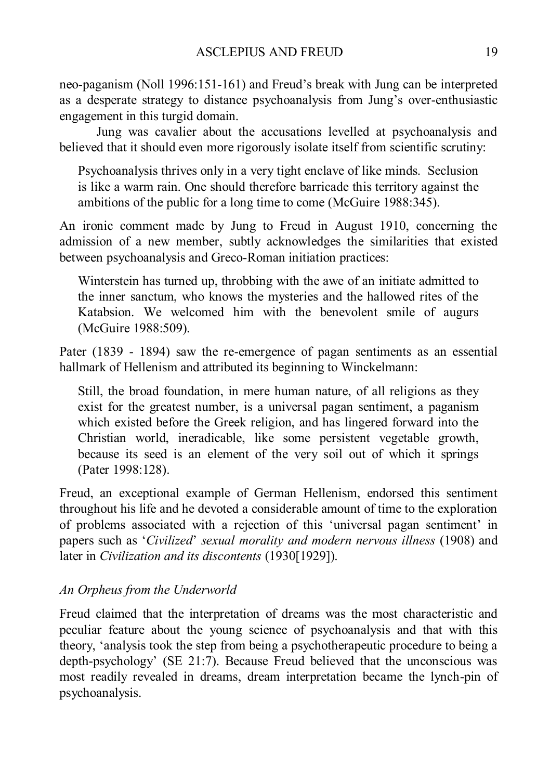neo-paganism (Noll 1996:151-161) and Freud's break with Jung can be interpreted as a desperate strategy to distance psychoanalysis from Jung's over-enthusiastic engagement in this turgid domain.

Jung was cavalier about the accusations levelled at psychoanalysis and believed that it should even more rigorously isolate itself from scientific scrutiny:

Psychoanalysis thrives only in a very tight enclave of like minds. Seclusion is like a warm rain. One should therefore barricade this territory against the ambitions of the public for a long time to come (McGuire 1988:345).

An ironic comment made by Jung to Freud in August 1910, concerning the admission of a new member, subtly acknowledges the similarities that existed between psychoanalysis and Greco-Roman initiation practices:

Winterstein has turned up, throbbing with the awe of an initiate admitted to the inner sanctum, who knows the mysteries and the hallowed rites of the Katabsion. We welcomed him with the benevolent smile of augurs (McGuire 1988:509).

Pater (1839 - 1894) saw the re-emergence of pagan sentiments as an essential hallmark of Hellenism and attributed its beginning to Winckelmann:

Still, the broad foundation, in mere human nature, of all religions as they exist for the greatest number, is a universal pagan sentiment, a paganism which existed before the Greek religion, and has lingered forward into the Christian world, ineradicable, like some persistent vegetable growth, because its seed is an element of the very soil out of which it springs (Pater 1998:128).

Freud, an exceptional example of German Hellenism, endorsed this sentiment throughout his life and he devoted a considerable amount of time to the exploration of problems associated with a rejection of this 'universal pagan sentiment' in papers such as '*Civilized*' *sexual morality and modern nervous illness* (1908) and later in *Civilization and its discontents* (1930[1929]).

# *An Orpheus from the Underworld*

Freud claimed that the interpretation of dreams was the most characteristic and peculiar feature about the young science of psychoanalysis and that with this theory, 'analysis took the step from being a psychotherapeutic procedure to being a depth-psychology' (SE 21:7). Because Freud believed that the unconscious was most readily revealed in dreams, dream interpretation became the lynch-pin of psychoanalysis.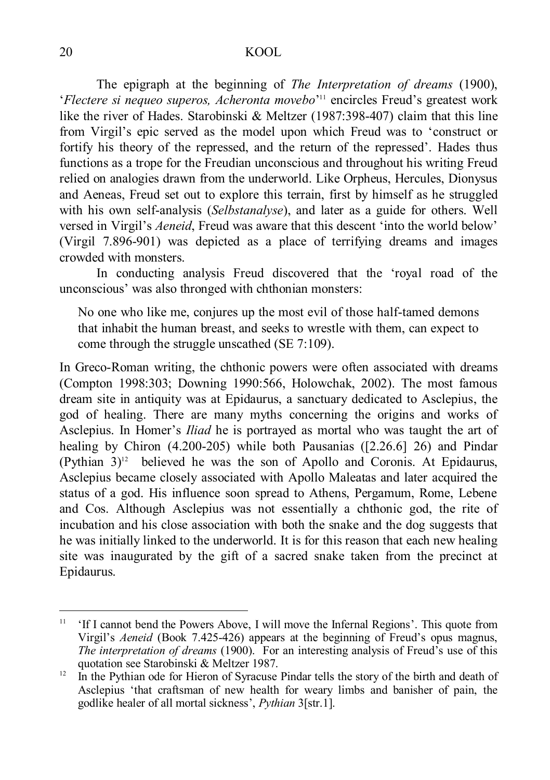The epigraph at the beginning of *The Interpretation of dreams* (1900), '*Flectere si nequeo superos, Acheronta movebo*' <sup>11</sup> encircles Freud's greatest work like the river of Hades. Starobinski & Meltzer (1987:398-407) claim that this line from Virgil's epic served as the model upon which Freud was to 'construct or fortify his theory of the repressed, and the return of the repressed'. Hades thus functions as a trope for the Freudian unconscious and throughout his writing Freud relied on analogies drawn from the underworld. Like Orpheus, Hercules, Dionysus and Aeneas, Freud set out to explore this terrain, first by himself as he struggled with his own self-analysis (*Selbstanalyse*), and later as a guide for others. Well versed in Virgil's *Aeneid*, Freud was aware that this descent 'into the world below' (Virgil 7.896-901) was depicted as a place of terrifying dreams and images crowded with monsters.

In conducting analysis Freud discovered that the 'royal road of the unconscious' was also thronged with chthonian monsters:

No one who like me, conjures up the most evil of those half-tamed demons that inhabit the human breast, and seeks to wrestle with them, can expect to come through the struggle unscathed (SE 7:109).

In Greco-Roman writing, the chthonic powers were often associated with dreams (Compton 1998:303; Downing 1990:566, Holowchak, 2002). The most famous dream site in antiquity was at Epidaurus, a sanctuary dedicated to Asclepius, the god of healing. There are many myths concerning the origins and works of Asclepius. In Homer's *Iliad* he is portrayed as mortal who was taught the art of healing by Chiron (4.200-205) while both Pausanias ([2.26.6] 26) and Pindar  $(Pythian 3)<sup>12</sup>$  believed he was the son of Apollo and Coronis. At Epidaurus, Asclepius became closely associated with Apollo Maleatas and later acquired the status of a god. His influence soon spread to Athens, Pergamum, Rome, Lebene and Cos. Although Asclepius was not essentially a chthonic god, the rite of incubation and his close association with both the snake and the dog suggests that he was initially linked to the underworld. It is for this reason that each new healing site was inaugurated by the gift of a sacred snake taken from the precinct at Epidaurus.

<u>.</u>

<sup>&</sup>lt;sup>11</sup> 'If I cannot bend the Powers Above, I will move the Infernal Regions'. This quote from Virgil's *Aeneid* (Book 7.425-426) appears at the beginning of Freud's opus magnus, *The interpretation of dreams* (1900). For an interesting analysis of Freud's use of this quotation see Starobinski & Meltzer 1987.

 $12 \text{ In the Python of Syracuse Pindar tells the story of the birth and death of }$ Asclepius 'that craftsman of new health for weary limbs and banisher of pain, the godlike healer of all mortal sickness', *Pythian* 3[str.1].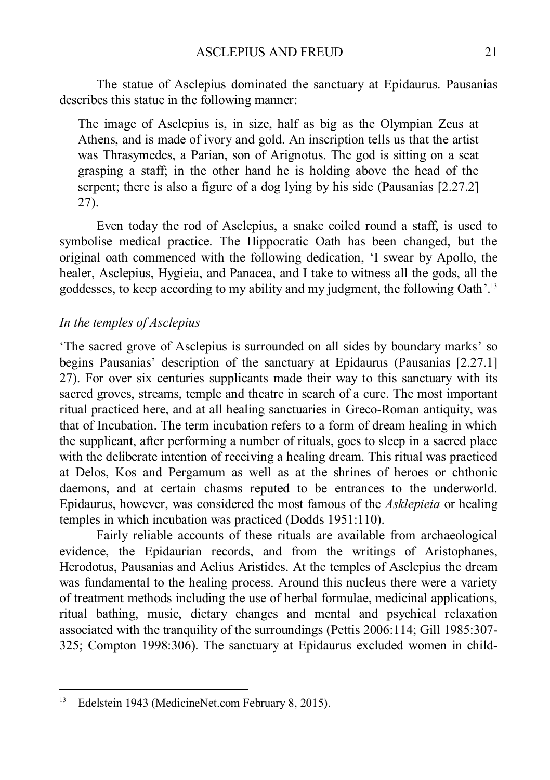The statue of Asclepius dominated the sanctuary at Epidaurus. Pausanias describes this statue in the following manner:

The image of Asclepius is, in size, half as big as the Olympian Zeus at Athens, and is made of ivory and gold. An inscription tells us that the artist was Thrasymedes, a Parian, son of Arignotus. The god is sitting on a seat grasping a staff; in the other hand he is holding above the head of the serpent; there is also a figure of a dog lying by his side (Pausanias [2.27.2] 27).

Even today the rod of Asclepius, a snake coiled round a staff, is used to symbolise medical practice. The Hippocratic Oath has been changed, but the original oath commenced with the following dedication, 'I swear by Apollo, the healer, Asclepius, Hygieia, and Panacea, and I take to witness all the gods, all the goddesses, to keep according to my ability and my judgment, the following Oath'. 13

# *In the temples of Asclepius*

'The sacred grove of Asclepius is surrounded on all sides by boundary marks' so begins Pausanias' description of the sanctuary at Epidaurus (Pausanias [2.27.1] 27). For over six centuries supplicants made their way to this sanctuary with its sacred groves, streams, temple and theatre in search of a cure. The most important ritual practiced here, and at all healing sanctuaries in Greco-Roman antiquity, was that of Incubation. The term incubation refers to a form of dream healing in which the supplicant, after performing a number of rituals, goes to sleep in a sacred place with the deliberate intention of receiving a healing dream. This ritual was practiced at Delos, Kos and Pergamum as well as at the shrines of heroes or chthonic daemons, and at certain chasms reputed to be entrances to the underworld. Epidaurus, however, was considered the most famous of the *Asklepieia* or healing temples in which incubation was practiced (Dodds 1951:110).

Fairly reliable accounts of these rituals are available from archaeological evidence, the Epidaurian records, and from the writings of Aristophanes, Herodotus, Pausanias and Aelius Aristides. At the temples of Asclepius the dream was fundamental to the healing process. Around this nucleus there were a variety of treatment methods including the use of herbal formulae, medicinal applications, ritual bathing, music, dietary changes and mental and psychical relaxation associated with the tranquility of the surroundings (Pettis 2006:114; Gill 1985:307- 325; Compton 1998:306). The sanctuary at Epidaurus excluded women in child-

-

<sup>&</sup>lt;sup>13</sup> Edelstein 1943 (MedicineNet.com February 8, 2015).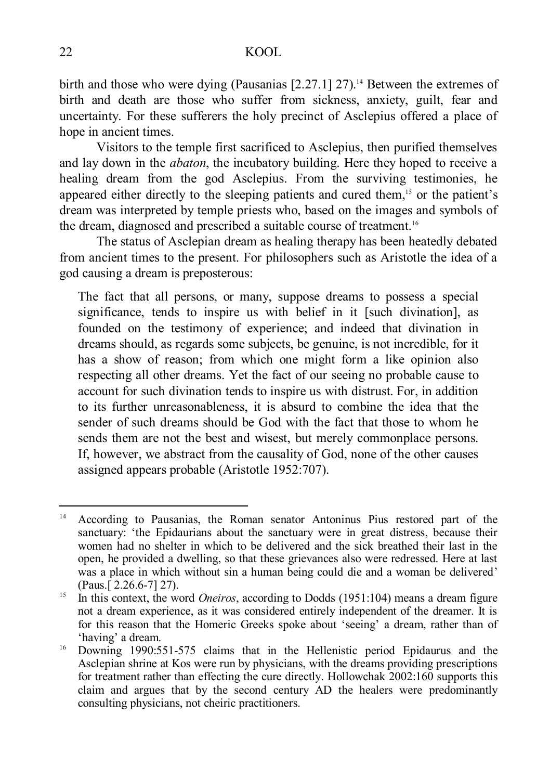birth and those who were dying (Pausanias [2.27.1] 27). <sup>14</sup> Between the extremes of birth and death are those who suffer from sickness, anxiety, guilt, fear and uncertainty. For these sufferers the holy precinct of Asclepius offered a place of hope in ancient times.

Visitors to the temple first sacrificed to Asclepius, then purified themselves and lay down in the *abaton*, the incubatory building. Here they hoped to receive a healing dream from the god Asclepius. From the surviving testimonies, he appeared either directly to the sleeping patients and cured them, <sup>15</sup> or the patient's dream was interpreted by temple priests who, based on the images and symbols of the dream, diagnosed and prescribed a suitable course of treatment.<sup>16</sup>

The status of Asclepian dream as healing therapy has been heatedly debated from ancient times to the present. For philosophers such as Aristotle the idea of a god causing a dream is preposterous:

The fact that all persons, or many, suppose dreams to possess a special significance, tends to inspire us with belief in it [such divination], as founded on the testimony of experience; and indeed that divination in dreams should, as regards some subjects, be genuine, is not incredible, for it has a show of reason; from which one might form a like opinion also respecting all other dreams. Yet the fact of our seeing no probable cause to account for such divination tends to inspire us with distrust. For, in addition to its further unreasonableness, it is absurd to combine the idea that the sender of such dreams should be God with the fact that those to whom he sends them are not the best and wisest, but merely commonplace persons. If, however, we abstract from the causality of God, none of the other causes assigned appears probable (Aristotle 1952:707).

<sup>14</sup> According to Pausanias, the Roman senator Antoninus Pius restored part of the sanctuary: 'the Epidaurians about the sanctuary were in great distress, because their women had no shelter in which to be delivered and the sick breathed their last in the open, he provided a dwelling, so that these grievances also were redressed. Here at last was a place in which without sin a human being could die and a woman be delivered' (Paus.[ 2.26.6-7] 27).

<sup>&</sup>lt;sup>15</sup> In this context, the word *Oneiros*, according to Dodds (1951:104) means a dream figure not a dream experience, as it was considered entirely independent of the dreamer. It is for this reason that the Homeric Greeks spoke about 'seeing' a dream, rather than of 'having' a dream.

<sup>&</sup>lt;sup>16</sup> Downing 1990:551-575 claims that in the Hellenistic period Epidaurus and the Asclepian shrine at Kos were run by physicians, with the dreams providing prescriptions for treatment rather than effecting the cure directly. Hollowchak 2002:160 supports this claim and argues that by the second century AD the healers were predominantly consulting physicians, not cheiric practitioners.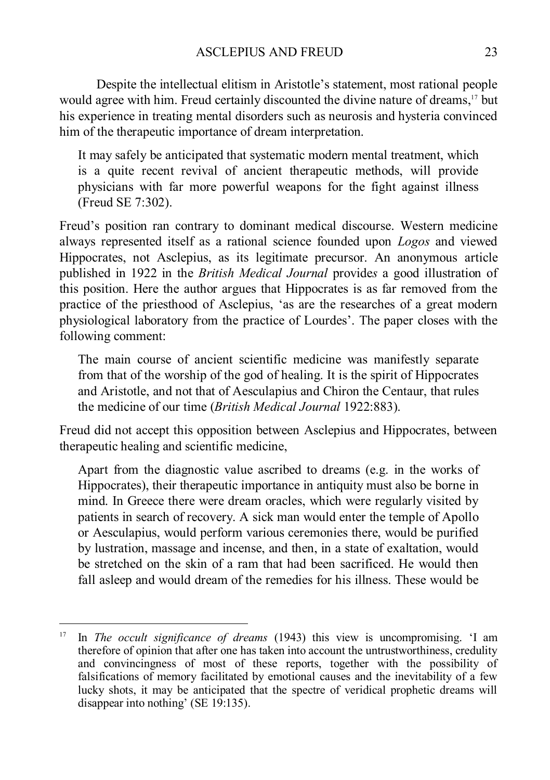Despite the intellectual elitism in Aristotle's statement, most rational people would agree with him. Freud certainly discounted the divine nature of dreams, <sup>17</sup> but his experience in treating mental disorders such as neurosis and hysteria convinced him of the therapeutic importance of dream interpretation.

It may safely be anticipated that systematic modern mental treatment, which is a quite recent revival of ancient therapeutic methods, will provide physicians with far more powerful weapons for the fight against illness (Freud SE 7:302).

Freud's position ran contrary to dominant medical discourse. Western medicine always represented itself as a rational science founded upon *Logos* and viewed Hippocrates, not Asclepius, as its legitimate precursor. An anonymous article published in 1922 in the *British Medical Journal* provide*s* a good illustration of this position. Here the author argues that Hippocrates is as far removed from the practice of the priesthood of Asclepius, 'as are the researches of a great modern physiological laboratory from the practice of Lourdes'. The paper closes with the following comment:

The main course of ancient scientific medicine was manifestly separate from that of the worship of the god of healing. It is the spirit of Hippocrates and Aristotle, and not that of Aesculapius and Chiron the Centaur, that rules the medicine of our time (*British Medical Journal* 1922:883).

Freud did not accept this opposition between Asclepius and Hippocrates, between therapeutic healing and scientific medicine,

Apart from the diagnostic value ascribed to dreams (e.g. in the works of Hippocrates), their therapeutic importance in antiquity must also be borne in mind. In Greece there were dream oracles, which were regularly visited by patients in search of recovery. A sick man would enter the temple of Apollo or Aesculapius, would perform various ceremonies there, would be purified by lustration, massage and incense, and then, in a state of exaltation, would be stretched on the skin of a ram that had been sacrificed. He would then fall asleep and would dream of the remedies for his illness. These would be

-

<sup>17</sup> In *The occult significance of dreams* (1943) this view is uncompromising. 'I am therefore of opinion that after one has taken into account the untrustworthiness, credulity and convincingness of most of these reports, together with the possibility of falsifications of memory facilitated by emotional causes and the inevitability of a few lucky shots, it may be anticipated that the spectre of veridical prophetic dreams will disappear into nothing' (SE 19:135).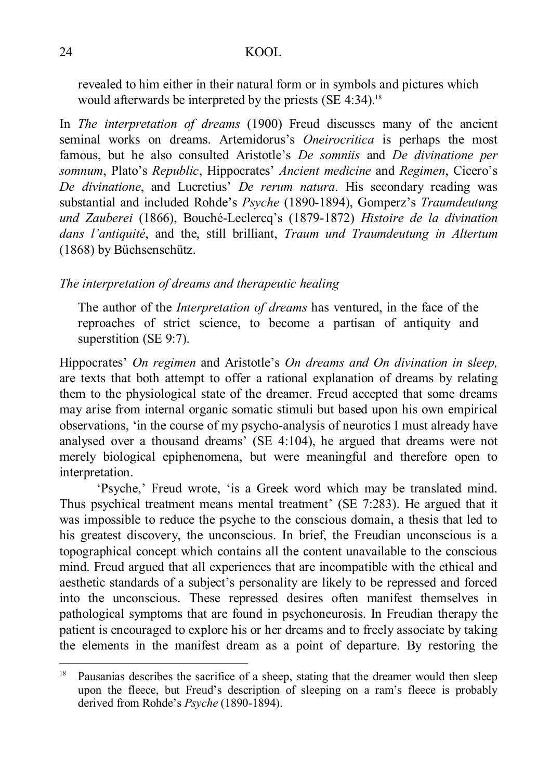revealed to him either in their natural form or in symbols and pictures which would afterwards be interpreted by the priests (SE 4:34). 18

In *The interpretation of dreams* (1900) Freud discusses many of the ancient seminal works on dreams. Artemidorus's *Oneirocritica* is perhaps the most famous, but he also consulted Aristotle's *De somniis* and *De divinatione per somnum*, Plato's *Republic*, Hippocrates' *Ancient medicine* and *Regimen*, Cicero's *De divinatione*, and Lucretius' *De rerum natura*. His secondary reading was substantial and included Rohde's *Psyche* (1890-1894), Gomperz's *Traumdeutung und Zauberei* (1866), Bouché-Leclercq's (1879-1872) *Histoire de la divination dans l'antiquité*, and the, still brilliant, *Traum und Traumdeutung in Altertum* (1868) by Büchsenschütz.

### *The interpretation of dreams and therapeutic healing*

The author of the *Interpretation of dreams* has ventured, in the face of the reproaches of strict science, to become a partisan of antiquity and superstition (SE 9:7).

Hippocrates' *On regimen* and Aristotle's *On dreams and On divination in* s*leep,* are texts that both attempt to offer a rational explanation of dreams by relating them to the physiological state of the dreamer. Freud accepted that some dreams may arise from internal organic somatic stimuli but based upon his own empirical observations, 'in the course of my psycho-analysis of neurotics I must already have analysed over a thousand dreams' (SE 4:104), he argued that dreams were not merely biological epiphenomena, but were meaningful and therefore open to interpretation.

'Psyche,' Freud wrote, 'is a Greek word which may be translated mind. Thus psychical treatment means mental treatment' (SE 7:283). He argued that it was impossible to reduce the psyche to the conscious domain, a thesis that led to his greatest discovery, the unconscious. In brief, the Freudian unconscious is a topographical concept which contains all the content unavailable to the conscious mind. Freud argued that all experiences that are incompatible with the ethical and aesthetic standards of a subject's personality are likely to be repressed and forced into the unconscious. These repressed desires often manifest themselves in pathological symptoms that are found in psychoneurosis. In Freudian therapy the patient is encouraged to explore his or her dreams and to freely associate by taking the elements in the manifest dream as a point of departure. By restoring the

 $18$ Pausanias describes the sacrifice of a sheep, stating that the dreamer would then sleep upon the fleece, but Freud's description of sleeping on a ram's fleece is probably derived from Rohde's *Psyche* (1890-1894).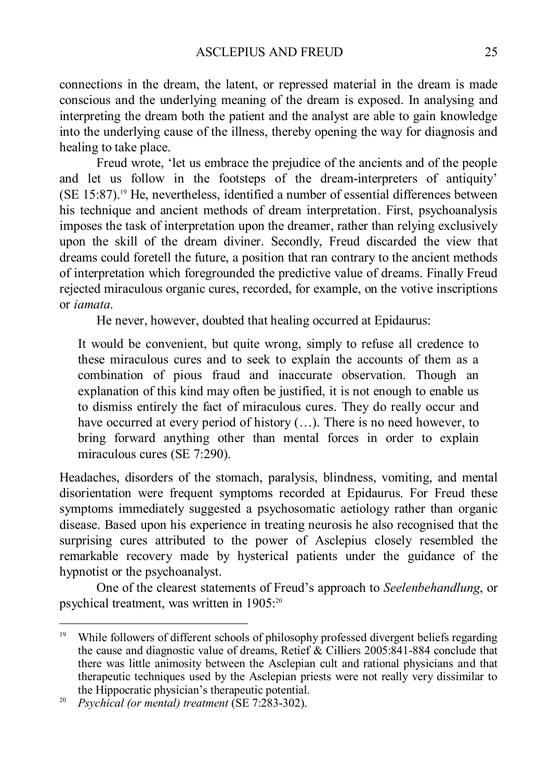connections in the dream, the latent, or repressed material in the dream is made conscious and the underlying meaning of the dream is exposed. In analysing and interpreting the dream both the patient and the analyst are able to gain knowledge into the underlying cause of the illness, thereby opening the way for diagnosis and healing to take place.

Freud wrote, 'let us embrace the prejudice of the ancients and of the people and let us follow in the footsteps of the dream-interpreters of antiquity' (SE 15:87). <sup>19</sup> He, nevertheless, identified a number of essential differences between his technique and ancient methods of dream interpretation. First, psychoanalysis imposes the task of interpretation upon the dreamer, rather than relying exclusively upon the skill of the dream diviner. Secondly, Freud discarded the view that dreams could foretell the future, a position that ran contrary to the ancient methods of interpretation which foregrounded the predictive value of dreams. Finally Freud rejected miraculous organic cures, recorded, for example, on the votive inscriptions or *iamata*.

He never, however, doubted that healing occurred at Epidaurus:

It would be convenient, but quite wrong, simply to refuse all credence to these miraculous cures and to seek to explain the accounts of them as a combination of pious fraud and inaccurate observation. Though an explanation of this kind may often be justified, it is not enough to enable us to dismiss entirely the fact of miraculous cures. They do really occur and have occurred at every period of history (...). There is no need however, to bring forward anything other than mental forces in order to explain miraculous cures (SE 7:290).

Headaches, disorders of the stomach, paralysis, blindness, vomiting, and mental disorientation were frequent symptoms recorded at Epidaurus. For Freud these symptoms immediately suggested a psychosomatic aetiology rather than organic disease. Based upon his experience in treating neurosis he also recognised that the surprising cures attributed to the power of Asclepius closely resembled the remarkable recovery made by hysterical patients under the guidance of the hypnotist or the psychoanalyst.

One of the clearest statements of Freud's approach to *Seelenbehandlung*, or psychical treatment, was written in 1905:<sup>20</sup>

 $19$ <sup>19</sup> While followers of different schools of philosophy professed divergent beliefs regarding the cause and diagnostic value of dreams, Retief & Cilliers 2005:841-884 conclude that there was little animosity between the Asclepian cult and rational physicians and that therapeutic techniques used by the Asclepian priests were not really very dissimilar to the Hippocratic physician's therapeutic potential.

<sup>20</sup> *Psychical (or mental) treatment* (SE 7:283-302).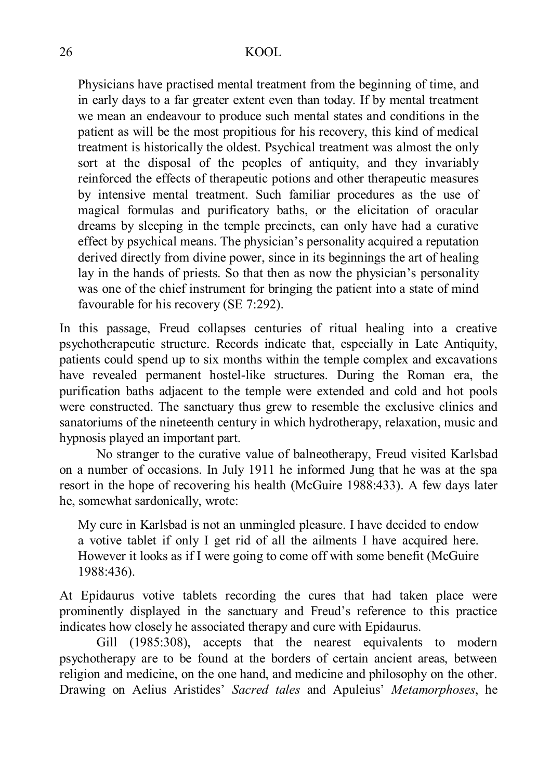Physicians have practised mental treatment from the beginning of time, and in early days to a far greater extent even than today. If by mental treatment we mean an endeavour to produce such mental states and conditions in the patient as will be the most propitious for his recovery, this kind of medical treatment is historically the oldest. Psychical treatment was almost the only sort at the disposal of the peoples of antiquity, and they invariably reinforced the effects of therapeutic potions and other therapeutic measures by intensive mental treatment. Such familiar procedures as the use of magical formulas and purificatory baths, or the elicitation of oracular dreams by sleeping in the temple precincts, can only have had a curative effect by psychical means. The physician's personality acquired a reputation derived directly from divine power, since in its beginnings the art of healing lay in the hands of priests. So that then as now the physician's personality was one of the chief instrument for bringing the patient into a state of mind favourable for his recovery (SE 7:292).

In this passage, Freud collapses centuries of ritual healing into a creative psychotherapeutic structure. Records indicate that, especially in Late Antiquity, patients could spend up to six months within the temple complex and excavations have revealed permanent hostel-like structures. During the Roman era, the purification baths adjacent to the temple were extended and cold and hot pools were constructed. The sanctuary thus grew to resemble the exclusive clinics and sanatoriums of the nineteenth century in which hydrotherapy, relaxation, music and hypnosis played an important part.

No stranger to the curative value of balneotherapy, Freud visited Karlsbad on a number of occasions. In July 1911 he informed Jung that he was at the spa resort in the hope of recovering his health (McGuire 1988:433). A few days later he, somewhat sardonically, wrote:

My cure in Karlsbad is not an unmingled pleasure. I have decided to endow a votive tablet if only I get rid of all the ailments I have acquired here. However it looks as if I were going to come off with some benefit (McGuire 1988:436).

At Epidaurus votive tablets recording the cures that had taken place were prominently displayed in the sanctuary and Freud's reference to this practice indicates how closely he associated therapy and cure with Epidaurus.

Gill (1985:308), accepts that the nearest equivalents to modern psychotherapy are to be found at the borders of certain ancient areas, between religion and medicine, on the one hand, and medicine and philosophy on the other. Drawing on Aelius Aristides' *Sacred tales* and Apuleius' *Metamorphoses*, he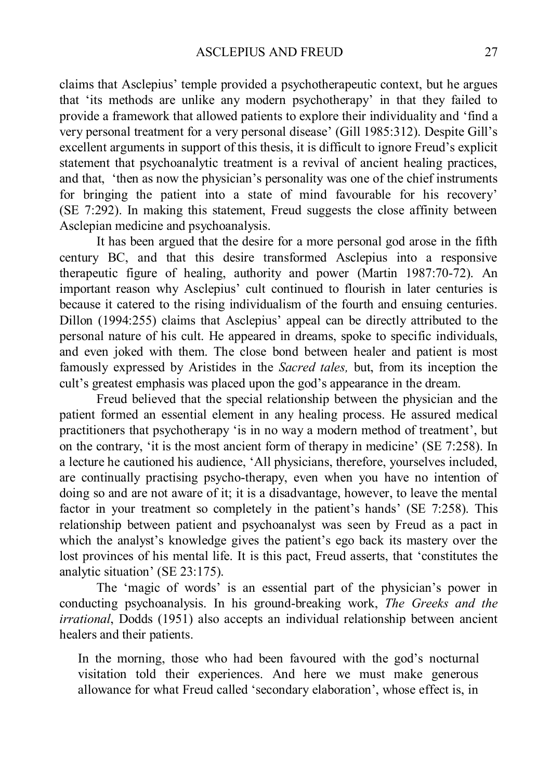claims that Asclepius' temple provided a psychotherapeutic context, but he argues that 'its methods are unlike any modern psychotherapy' in that they failed to provide a framework that allowed patients to explore their individuality and 'find a very personal treatment for a very personal disease' (Gill 1985:312). Despite Gill's excellent arguments in support of this thesis, it is difficult to ignore Freud's explicit statement that psychoanalytic treatment is a revival of ancient healing practices, and that, 'then as now the physician's personality was one of the chief instruments for bringing the patient into a state of mind favourable for his recovery' (SE 7:292). In making this statement, Freud suggests the close affinity between Asclepian medicine and psychoanalysis.

It has been argued that the desire for a more personal god arose in the fifth century BC, and that this desire transformed Asclepius into a responsive therapeutic figure of healing, authority and power (Martin 1987:70-72). An important reason why Asclepius' cult continued to flourish in later centuries is because it catered to the rising individualism of the fourth and ensuing centuries. Dillon (1994:255) claims that Asclepius' appeal can be directly attributed to the personal nature of his cult. He appeared in dreams, spoke to specific individuals, and even joked with them. The close bond between healer and patient is most famously expressed by Aristides in the *Sacred tales,* but, from its inception the cult's greatest emphasis was placed upon the god's appearance in the dream.

Freud believed that the special relationship between the physician and the patient formed an essential element in any healing process. He assured medical practitioners that psychotherapy 'is in no way a modern method of treatment', but on the contrary, 'it is the most ancient form of therapy in medicine' (SE 7:258). In a lecture he cautioned his audience, 'All physicians, therefore, yourselves included, are continually practising psycho-therapy, even when you have no intention of doing so and are not aware of it; it is a disadvantage, however, to leave the mental factor in your treatment so completely in the patient's hands' (SE 7:258). This relationship between patient and psychoanalyst was seen by Freud as a pact in which the analyst's knowledge gives the patient's ego back its mastery over the lost provinces of his mental life. It is this pact, Freud asserts, that 'constitutes the analytic situation' (SE 23:175).

The 'magic of words' is an essential part of the physician's power in conducting psychoanalysis. In his ground-breaking work, *The Greeks and the irrational*, Dodds (1951) also accepts an individual relationship between ancient healers and their patients.

In the morning, those who had been favoured with the god's nocturnal visitation told their experiences. And here we must make generous allowance for what Freud called 'secondary elaboration', whose effect is, in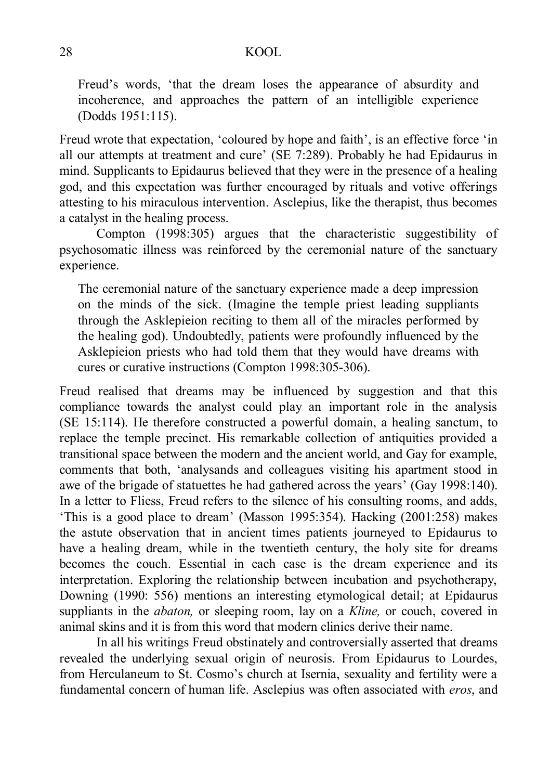Freud's words, 'that the dream loses the appearance of absurdity and incoherence, and approaches the pattern of an intelligible experience (Dodds 1951:115).

Freud wrote that expectation, 'coloured by hope and faith', is an effective force 'in all our attempts at treatment and cure' (SE 7:289). Probably he had Epidaurus in mind. Supplicants to Epidaurus believed that they were in the presence of a healing god, and this expectation was further encouraged by rituals and votive offerings attesting to his miraculous intervention. Asclepius, like the therapist, thus becomes a catalyst in the healing process.

Compton (1998:305) argues that the characteristic suggestibility of psychosomatic illness was reinforced by the ceremonial nature of the sanctuary experience.

The ceremonial nature of the sanctuary experience made a deep impression on the minds of the sick. (Imagine the temple priest leading suppliants through the Asklepieion reciting to them all of the miracles performed by the healing god). Undoubtedly, patients were profoundly influenced by the Asklepieion priests who had told them that they would have dreams with cures or curative instructions (Compton 1998:305-306).

Freud realised that dreams may be influenced by suggestion and that this compliance towards the analyst could play an important role in the analysis (SE 15:114). He therefore constructed a powerful domain, a healing sanctum, to replace the temple precinct. His remarkable collection of antiquities provided a transitional space between the modern and the ancient world, and Gay for example, comments that both, 'analysands and colleagues visiting his apartment stood in awe of the brigade of statuettes he had gathered across the years' (Gay 1998:140). In a letter to Fliess, Freud refers to the silence of his consulting rooms, and adds, 'This is a good place to dream' (Masson 1995:354). Hacking (2001:258) makes the astute observation that in ancient times patients journeyed to Epidaurus to have a healing dream, while in the twentieth century, the holy site for dreams becomes the couch. Essential in each case is the dream experience and its interpretation. Exploring the relationship between incubation and psychotherapy, Downing (1990: 556) mentions an interesting etymological detail; at Epidaurus suppliants in the *abaton*, or sleeping room, lay on a *Kline*, or couch, covered in animal skins and it is from this word that modern clinics derive their name.

In all his writings Freud obstinately and controversially asserted that dreams revealed the underlying sexual origin of neurosis. From Epidaurus to Lourdes, from Herculaneum to St. Cosmo's church at Isernia, sexuality and fertility were a fundamental concern of human life. Asclepius was often associated with *eros*, and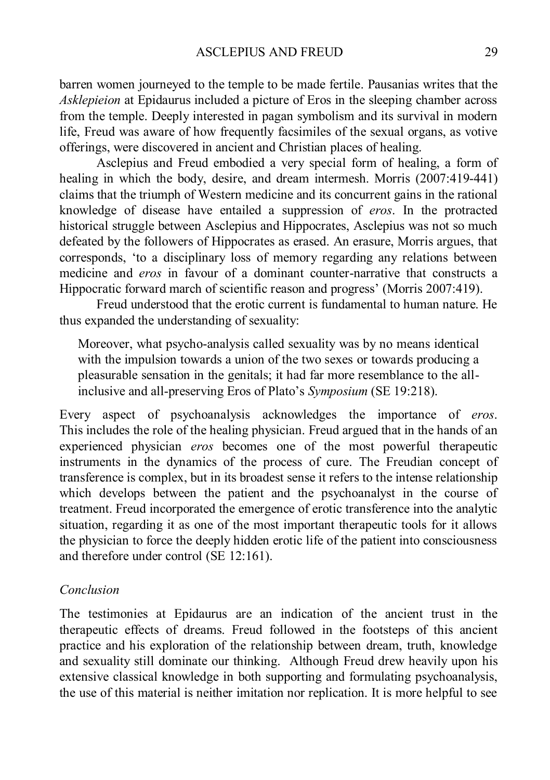barren women journeyed to the temple to be made fertile. Pausanias writes that the *Asklepieion* at Epidaurus included a picture of Eros in the sleeping chamber across from the temple. Deeply interested in pagan symbolism and its survival in modern life, Freud was aware of how frequently facsimiles of the sexual organs, as votive offerings, were discovered in ancient and Christian places of healing.

Asclepius and Freud embodied a very special form of healing, a form of healing in which the body, desire, and dream intermesh. Morris (2007:419-441) claims that the triumph of Western medicine and its concurrent gains in the rational knowledge of disease have entailed a suppression of *eros*. In the protracted historical struggle between Asclepius and Hippocrates, Asclepius was not so much defeated by the followers of Hippocrates as erased. An erasure, Morris argues, that corresponds, 'to a disciplinary loss of memory regarding any relations between medicine and *eros* in favour of a dominant counter-narrative that constructs a Hippocratic forward march of scientific reason and progress' (Morris 2007:419).

Freud understood that the erotic current is fundamental to human nature. He thus expanded the understanding of sexuality:

Moreover, what psycho-analysis called sexuality was by no means identical with the impulsion towards a union of the two sexes or towards producing a pleasurable sensation in the genitals; it had far more resemblance to the allinclusive and all-preserving Eros of Plato's *Symposium* (SE 19:218).

Every aspect of psychoanalysis acknowledges the importance of *eros*. This includes the role of the healing physician. Freud argued that in the hands of an experienced physician *eros* becomes one of the most powerful therapeutic instruments in the dynamics of the process of cure. The Freudian concept of transference is complex, but in its broadest sense it refers to the intense relationship which develops between the patient and the psychoanalyst in the course of treatment. Freud incorporated the emergence of erotic transference into the analytic situation, regarding it as one of the most important therapeutic tools for it allows the physician to force the deeply hidden erotic life of the patient into consciousness and therefore under control (SE 12:161).

### *Conclusion*

The testimonies at Epidaurus are an indication of the ancient trust in the therapeutic effects of dreams. Freud followed in the footsteps of this ancient practice and his exploration of the relationship between dream, truth, knowledge and sexuality still dominate our thinking. Although Freud drew heavily upon his extensive classical knowledge in both supporting and formulating psychoanalysis, the use of this material is neither imitation nor replication. It is more helpful to see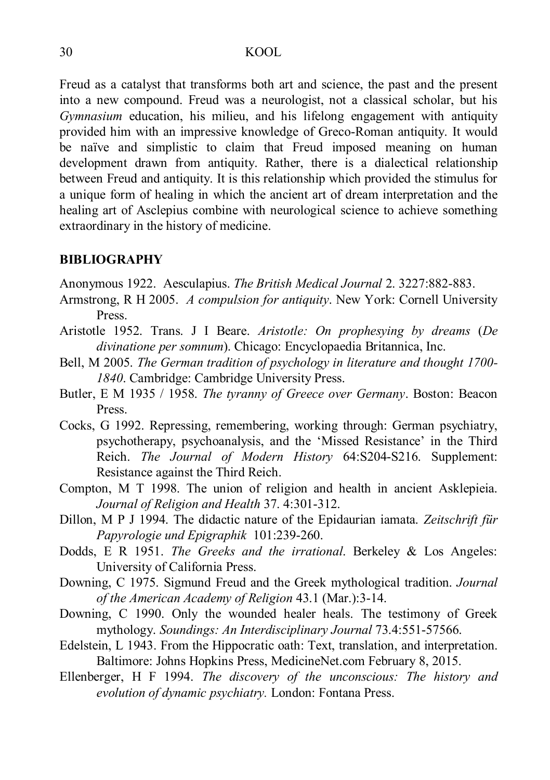Freud as a catalyst that transforms both art and science, the past and the present into a new compound. Freud was a neurologist, not a classical scholar, but his *Gymnasium* education, his milieu, and his lifelong engagement with antiquity provided him with an impressive knowledge of Greco-Roman antiquity. It would be naïve and simplistic to claim that Freud imposed meaning on human development drawn from antiquity. Rather, there is a dialectical relationship between Freud and antiquity. It is this relationship which provided the stimulus for a unique form of healing in which the ancient art of dream interpretation and the healing art of Asclepius combine with neurological science to achieve something extraordinary in the history of medicine.

#### **BIBLIOGRAPHY**

Anonymous 1922. Aesculapius. *The British Medical Journal* 2. 3227:882-883.

- Armstrong, R H 2005. *A compulsion for antiquity*. New York: Cornell University Press.
- Aristotle 1952. Trans. J I Beare. *Aristotle: On prophesying by dreams* (*De divinatione per somnum*). Chicago: Encyclopaedia Britannica, Inc.
- Bell, M 2005. *The German tradition of psychology in literature and thought 1700- 1840*. Cambridge: Cambridge University Press.
- Butler, E M 1935 / 1958. *The tyranny of Greece over Germany*. Boston: Beacon Press.
- Cocks, G 1992. Repressing, remembering, working through: German psychiatry, psychotherapy, psychoanalysis, and the 'Missed Resistance' in the Third Reich. *The Journal of Modern History* 64:S204-S216. Supplement: Resistance against the Third Reich.
- Compton, M T 1998. The union of religion and health in ancient Asklepieia. *Journal of Religion and Health* 37. 4:301-312.
- Dillon, M P J 1994. The didactic nature of the Epidaurian iamata. *Zeitschrift für Papyrologie und Epigraphik* 101:239-260.
- Dodds, E R 1951. *The Greeks and the irrational*. Berkeley & Los Angeles: University of California Press.
- Downing, C 1975. Sigmund Freud and the Greek mythological tradition. *Journal of the American Academy of Religion* 43.1 (Mar.):3-14.
- Downing, C 1990. Only the wounded healer heals. The testimony of Greek mythology. *Soundings: An Interdisciplinary Journal* 73.4:551-57566.
- Edelstein, L 1943. From the Hippocratic oath: Text, translation, and interpretation. Baltimore: Johns Hopkins Press, MedicineNet.com February 8, 2015.
- Ellenberger, H F 1994. *The discovery of the unconscious: The history and evolution of dynamic psychiatry.* London: Fontana Press.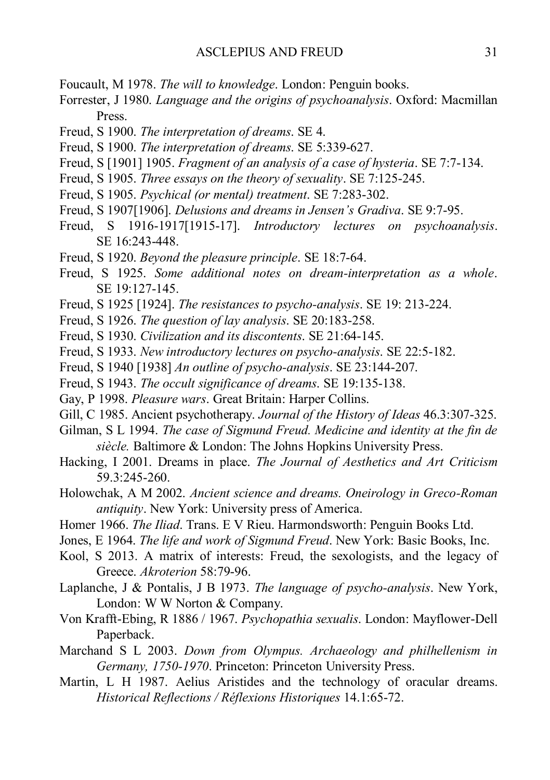- Foucault, M 1978. *The will to knowledge*. London: Penguin books.
- Forrester, J 1980. *Language and the origins of psychoanalysis*. Oxford: Macmillan Press.
- Freud, S 1900. *The interpretation of dreams*. SE 4.
- Freud, S 1900. *The interpretation of dreams*. SE 5:339-627.
- Freud, S [1901] 1905. *Fragment of an analysis of a case of hysteria*. SE 7:7-134.
- Freud, S 1905. *Three essays on the theory of sexuality*. SE 7:125-245.
- Freud, S 1905. *Psychical (or mental) treatment*. SE 7:283-302.
- Freud, S 1907[1906]. *Delusions and dreams in Jensen's Gradiva*. SE 9:7-95.
- Freud, S 1916-1917[1915-17]. *Introductory lectures on psychoanalysis*. SE 16:243-448.
- Freud, S 1920. *Beyond the pleasure principle*. SE 18:7-64.
- Freud, S 1925. *Some additional notes on dream-interpretation as a whole*. SE 19:127-145.
- Freud, S 1925 [1924]. *The resistances to psycho-analysis*. SE 19: 213-224.
- Freud, S 1926. *The question of lay analysis*. SE 20:183-258.
- Freud, S 1930. *Civilization and its discontents*. SE 21:64-145.
- Freud, S 1933. *New introductory lectures on psycho-analysis*. SE 22:5-182.
- Freud, S 1940 [1938] *An outline of psycho-analysis*. SE 23:144-207.
- Freud, S 1943. *The occult significance of dreams*. SE 19:135-138.
- Gay, P 1998. *Pleasure wars*. Great Britain: Harper Collins.
- Gill, C 1985. Ancient psychotherapy. *Journal of the History of Ideas* 46.3:307-325.
- Gilman, S L 1994. *The case of Sigmund Freud. Medicine and identity at the fin de siècle.* Baltimore & London: The Johns Hopkins University Press.
- Hacking, I 2001. Dreams in place. *The Journal of Aesthetics and Art Criticism* 59.3:245-260.
- Holowchak, A M 2002. *Ancient science and dreams. Oneirology in Greco-Roman antiquity*. New York: University press of America.
- Homer 1966. *The Iliad*. Trans. E V Rieu. Harmondsworth: Penguin Books Ltd.
- Jones, E 1964. *The life and work of Sigmund Freud*. New York: Basic Books, Inc.
- Kool, S 2013. A matrix of interests: Freud, the sexologists, and the legacy of Greece. *Akroterion* 58:79-96.
- Laplanche, J & Pontalis, J B 1973. *The language of psycho-analysis*. New York, London: W W Norton & Company.
- Von Krafft-Ebing, R 1886 / 1967. *Psychopathia sexualis*. London: Mayflower-Dell Paperback.
- Marchand S L 2003. *Down from Olympus. Archaeology and philhellenism in Germany, 1750-1970*. Princeton: Princeton University Press.
- Martin, L H 1987. Aelius Aristides and the technology of oracular dreams. *Historical Reflections / Réflexions Historiques* 14.1:65-72.